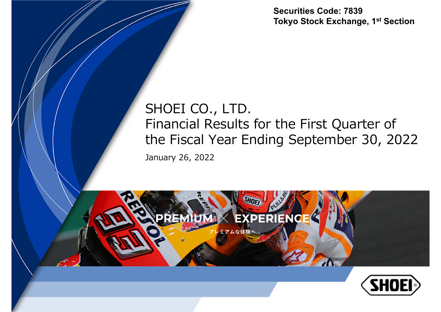**Securities Code: 7839Tokyo Stock Exchange, 1st Section**

### January 26, 2022 SHOEI CO., LTD. Financial Results for the First Quarter of the Fiscal Year Ending September 30, 2022



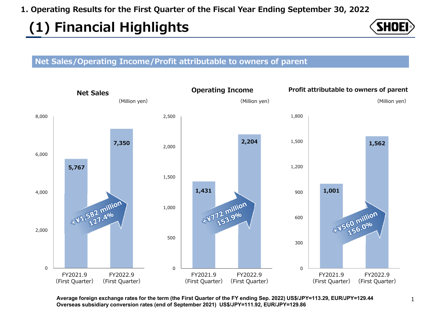# **(1) Financial Highlights**



#### **Net Sales/Operating Income/Profit attributable to owners of parent**



**Average foreign exchange rates for the term (the First Quarter of the FY ending Sep. 2022) US\$/JPY=113.29, EUR/JPY=129.44 Overseas subsidiary conversion rates (end of September 2021) US\$/JPY=111.92, EUR/JPY=129.86**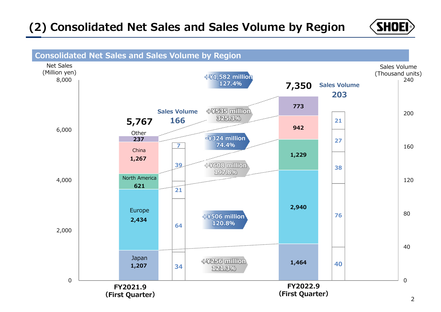### **(2) Consolidated Net Sales and Sales Volume by Region**